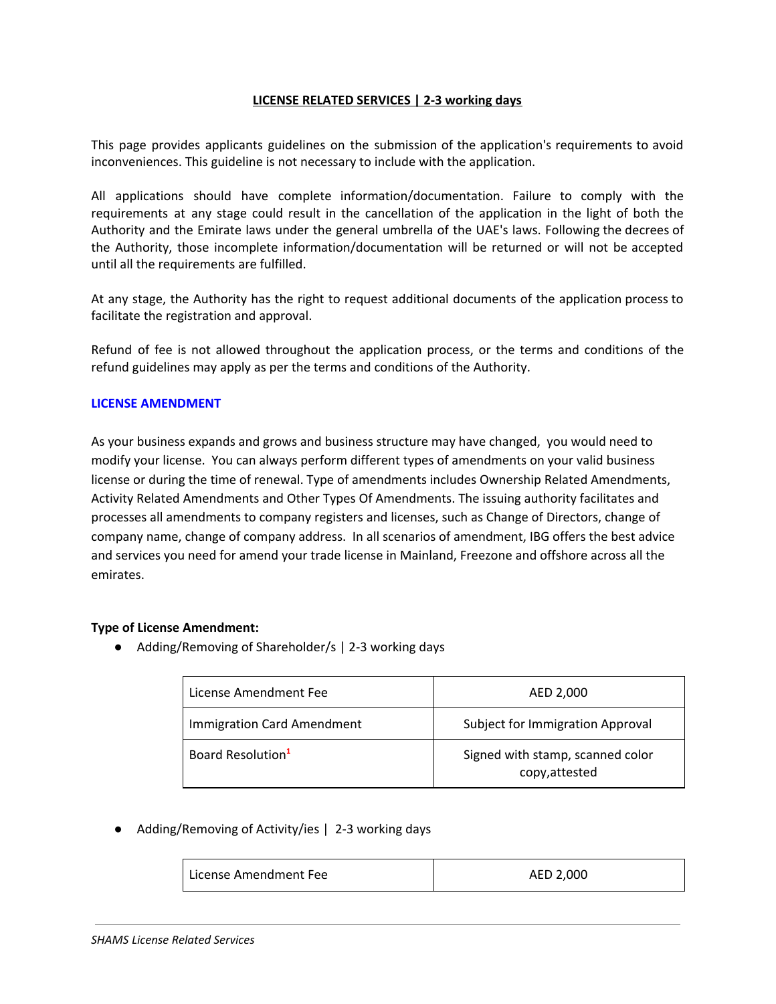## **LICENSE RELATED SERVICES | 2-3 working days**

This page provides applicants guidelines on the submission of the application's requirements to avoid inconveniences. This guideline is not necessary to include with the application.

All applications should have complete information/documentation. Failure to comply with the requirements at any stage could result in the cancellation of the application in the light of both the Authority and the Emirate laws under the general umbrella of the UAE's laws. Following the decrees of the Authority, those incomplete information/documentation will be returned or will not be accepted until all the requirements are fulfilled.

At any stage, the Authority has the right to request additional documents of the application process to facilitate the registration and approval.

Refund of fee is not allowed throughout the application process, or the terms and conditions of the refund guidelines may apply as per the terms and conditions of the Authority.

## **LICENSE AMENDMENT**

As your business expands and grows and business structure may have changed, you would need to modify your license. You can always perform different types of amendments on your valid business license or during the time of renewal. Type of amendments includes Ownership Related Amendments, Activity Related Amendments and Other Types Of Amendments. The issuing authority facilitates and processes all amendments to company registers and licenses, such as Change of Directors, change of company name, change of company address. In all scenarios of amendment, IBG offers the best advice and services you need for amend your trade license in Mainland, Freezone and offshore across all the emirates.

## **Type of License Amendment:**

● Adding/Removing of Shareholder/s | 2-3 working days

| License Amendment Fee             | AED 2,000                                          |
|-----------------------------------|----------------------------------------------------|
| <b>Immigration Card Amendment</b> | Subject for Immigration Approval                   |
| Board Resolution <sup>1</sup>     | Signed with stamp, scanned color<br>copy, attested |

● Adding/Removing of Activity/ies | 2-3 working days

| License Amendment Fee | AED 2,000 |
|-----------------------|-----------|
|                       |           |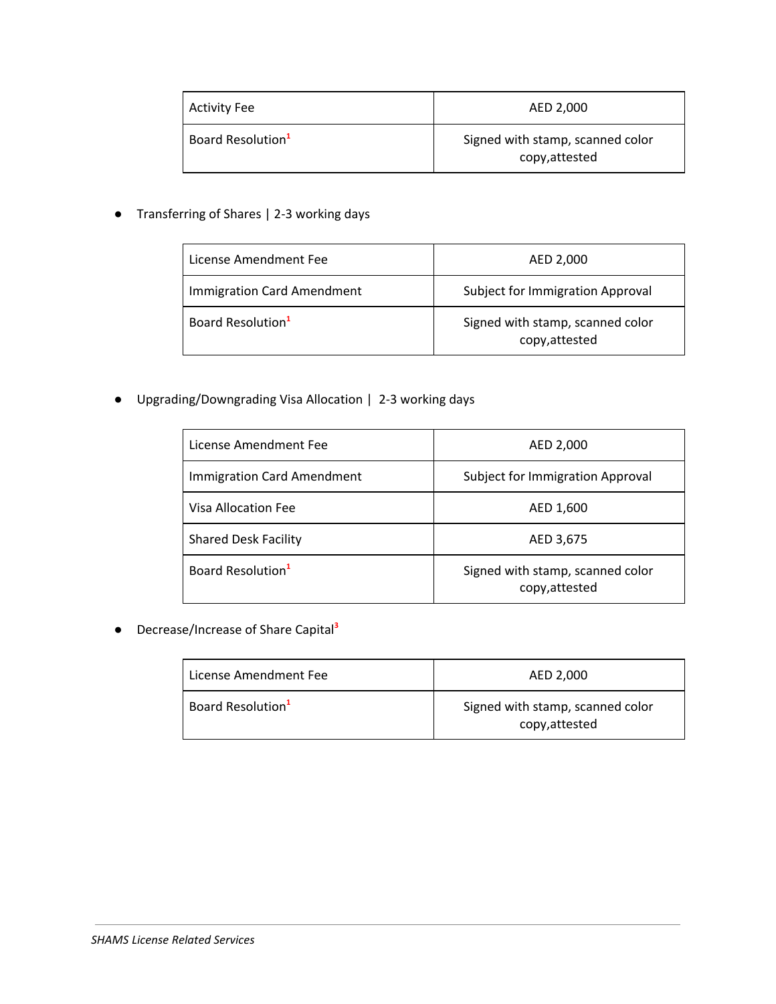| Activity Fee                  | AED 2,000                                          |
|-------------------------------|----------------------------------------------------|
| Board Resolution <sup>1</sup> | Signed with stamp, scanned color<br>copy, attested |

● Transferring of Shares | 2-3 working days

| License Amendment Fee             | AED 2,000                                          |
|-----------------------------------|----------------------------------------------------|
| <b>Immigration Card Amendment</b> | Subject for Immigration Approval                   |
| Board Resolution <sup>1</sup>     | Signed with stamp, scanned color<br>copy, attested |

● Upgrading/Downgrading Visa Allocation | 2-3 working days

| License Amendment Fee             | AED 2,000                                          |
|-----------------------------------|----------------------------------------------------|
| <b>Immigration Card Amendment</b> | Subject for Immigration Approval                   |
| Visa Allocation Fee               | AED 1,600                                          |
| <b>Shared Desk Facility</b>       | AED 3,675                                          |
| Board Resolution <sup>1</sup>     | Signed with stamp, scanned color<br>copy, attested |

● Decrease/Increase of Share Capital **3**

| License Amendment Fee         | AED 2,000                                          |
|-------------------------------|----------------------------------------------------|
| Board Resolution <sup>1</sup> | Signed with stamp, scanned color<br>copy, attested |